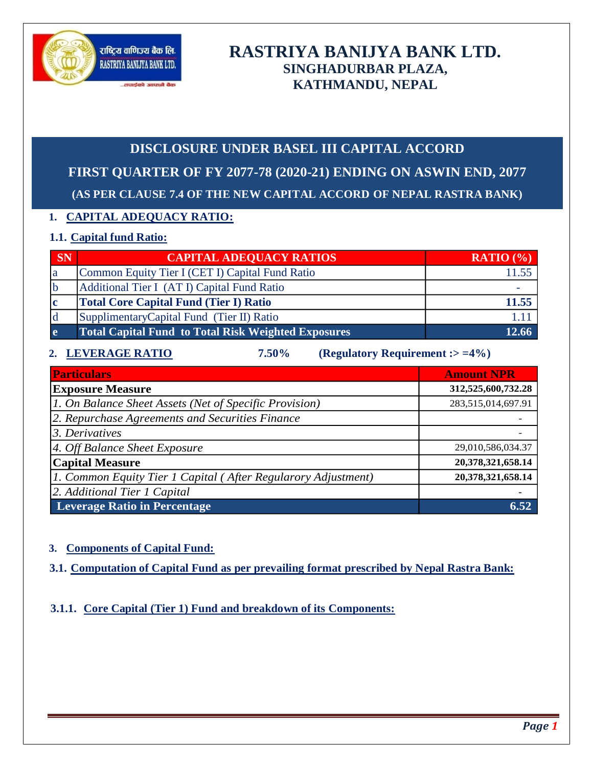

# **RASTRIYA BANIJYA BANK LTD. SINGHADURBAR PLAZA, KATHMANDU, NEPAL**

# **DISCLOSURE UNDER BASEL III CAPITAL ACCORD FIRST QUARTER OF FY 2077-78 (2020-21) ENDING ON ASWIN END, 2077 (AS PER CLAUSE 7.4 OF THE NEW CAPITAL ACCORD OF NEPAL RASTRA BANK)**

# **1. CAPITAL ADEQUACY RATIO:**

# **1.1. Capital fund Ratio:**

| SN            | <b>CAPITAL ADEQUACY RATIOS</b>                             | <b>RATIO</b> $\left(\frac{9}{6}\right)$ |
|---------------|------------------------------------------------------------|-----------------------------------------|
| la            | Common Equity Tier I (CET I) Capital Fund Ratio            |                                         |
| $\mathsf{lb}$ | Additional Tier I (AT I) Capital Fund Ratio                |                                         |
| c             | <b>Total Core Capital Fund (Tier I) Ratio</b>              | 11.55                                   |
|               | Supplimentary Capital Fund (Tier II) Ratio                 |                                         |
| <b>e</b>      | <b>Total Capital Fund to Total Risk Weighted Exposures</b> | 12.66                                   |

## **2. LEVERAGE RATIO 7.50% (Regulatory Requirement :> =4%)**

| <b>Particulars</b>                                            | <b>Amount NPR</b>  |
|---------------------------------------------------------------|--------------------|
| <b>Exposure Measure</b>                                       | 312,525,600,732.28 |
| 1. On Balance Sheet Assets (Net of Specific Provision)        | 283,515,014,697.91 |
| 2. Repurchase Agreements and Securities Finance               |                    |
| 3. Derivatives                                                |                    |
| 4. Off Balance Sheet Exposure                                 | 29,010,586,034.37  |
| <b>Capital Measure</b>                                        | 20,378,321,658.14  |
| 1. Common Equity Tier 1 Capital (After Regularory Adjustment) | 20,378,321,658.14  |
| 2. Additional Tier 1 Capital                                  |                    |
| <b>Leverage Ratio in Percentage</b>                           | 6.52               |

# **3. Components of Capital Fund:**

**3.1. Computation of Capital Fund as per prevailing format prescribed by Nepal Rastra Bank:**

**3.1.1. Core Capital (Tier 1) Fund and breakdown of its Components:**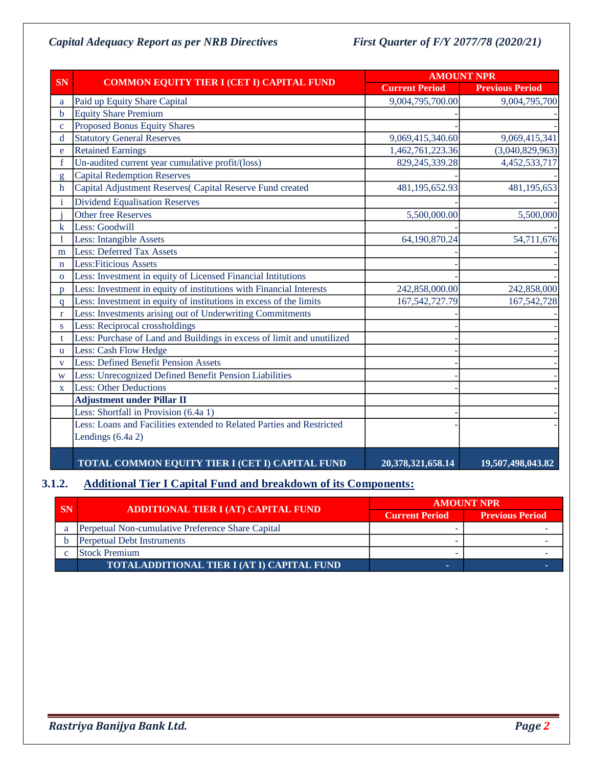|              |                                                                        |                       | <b>AMOUNT NPR</b>      |  |  |  |
|--------------|------------------------------------------------------------------------|-----------------------|------------------------|--|--|--|
| <b>SN</b>    | <b>COMMON EQUITY TIER I (CET I) CAPITAL FUND</b>                       | <b>Current Period</b> | <b>Previous Period</b> |  |  |  |
| a            | Paid up Equity Share Capital                                           | 9,004,795,700.00      | 9,004,795,700          |  |  |  |
| b            | <b>Equity Share Premium</b>                                            |                       |                        |  |  |  |
| $\mathbf{c}$ | <b>Proposed Bonus Equity Shares</b>                                    |                       |                        |  |  |  |
| $\mathbf d$  | <b>Statutory General Reserves</b>                                      | 9,069,415,340.60      | 9,069,415,341          |  |  |  |
| e            | <b>Retained Earnings</b>                                               | 1,462,761,223.36      | (3,040,829,963)        |  |  |  |
| $\mathbf f$  | Un-audited current year cumulative profit/(loss)                       | 829, 245, 339. 28     | 4,452,533,717          |  |  |  |
| g            | <b>Capital Redemption Reserves</b>                                     |                       |                        |  |  |  |
| $\mathbf h$  | Capital Adjustment Reserves(Capital Reserve Fund created               | 481,195,652.93        | 481,195,653            |  |  |  |
| i            | <b>Dividend Equalisation Reserves</b>                                  |                       |                        |  |  |  |
|              | <b>Other free Reserves</b>                                             | 5,500,000.00          | 5,500,000              |  |  |  |
| k            | Less: Goodwill                                                         |                       |                        |  |  |  |
|              | Less: Intangible Assets                                                | 64,190,870.24         | 54,711,676             |  |  |  |
| m            | <b>Less: Deferred Tax Assets</b>                                       |                       |                        |  |  |  |
| $\mathbf n$  | <b>Less: Fiticious Assets</b>                                          |                       |                        |  |  |  |
| $\Omega$     | Less: Investment in equity of Licensed Financial Intitutions           |                       |                        |  |  |  |
| D.           | Less: Investment in equity of institutions with Financial Interests    | 242,858,000.00        | 242,858,000            |  |  |  |
| $\mathsf{q}$ | Less: Investment in equity of institutions in excess of the limits     | 167, 542, 727. 79     | 167,542,728            |  |  |  |
| $r_{\rm}$    | Less: Investments arising out of Underwriting Commitments              |                       |                        |  |  |  |
| S.           | Less: Reciprocal crossholdings                                         |                       |                        |  |  |  |
| t            | Less: Purchase of Land and Buildings in excess of limit and unutilized |                       |                        |  |  |  |
| u.           | Less: Cash Flow Hedge                                                  |                       |                        |  |  |  |
| $\mathbf{V}$ | <b>Less: Defined Benefit Pension Assets</b>                            |                       |                        |  |  |  |
| W            | Less: Unrecognized Defined Benefit Pension Liabilities                 |                       |                        |  |  |  |
| $\mathbf{X}$ | <b>Less: Other Deductions</b>                                          |                       |                        |  |  |  |
|              | <b>Adjustment under Pillar II</b>                                      |                       |                        |  |  |  |
|              | Less: Shortfall in Provision (6.4a 1)                                  |                       |                        |  |  |  |
|              | Less: Loans and Facilities extended to Related Parties and Restricted  |                       |                        |  |  |  |
|              | Lendings (6.4a 2)                                                      |                       |                        |  |  |  |
|              | TOTAL COMMON EQUITY TIER I (CET I) CAPITAL FUND                        | 20,378,321,658.14     | 19,507,498,043.82      |  |  |  |

# **3.1.2. Additional Tier I Capital Fund and breakdown of its Components:**

| <b>SN</b> | ADDITIONAL TIER I (AT) CAPITAL FUND               | <b>AMOUNT NPR</b>     |                        |  |  |
|-----------|---------------------------------------------------|-----------------------|------------------------|--|--|
|           |                                                   | <b>Current Period</b> | <b>Previous Period</b> |  |  |
|           | Perpetual Non-cumulative Preference Share Capital |                       |                        |  |  |
|           | <b>Perpetual Debt Instruments</b>                 |                       |                        |  |  |
|           | <b>Stock Premium</b>                              |                       |                        |  |  |
|           | <b>TOTALADDITIONAL TIER I (AT I) CAPITAL FUND</b> |                       |                        |  |  |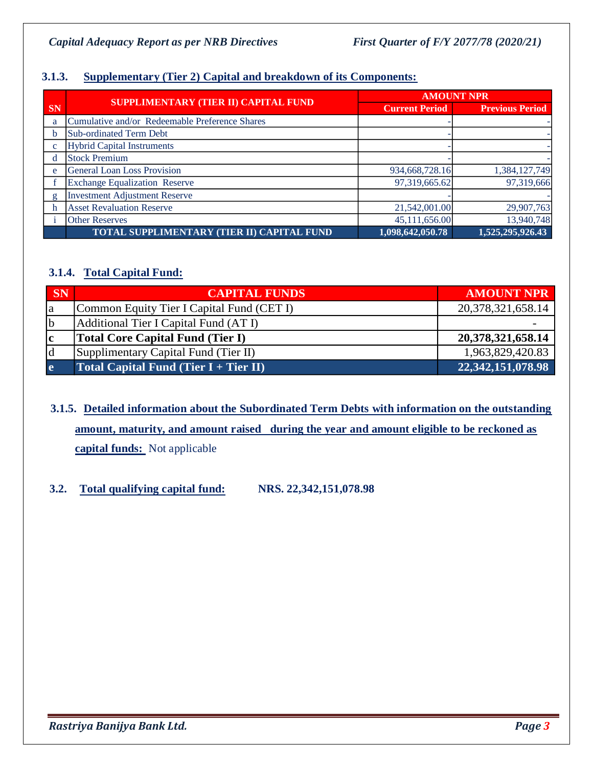# **3.1.3. Supplementary (Tier 2) Capital and breakdown of its Components:**

|              |                                                |                       | <b>AMOUNT NPR</b>      |
|--------------|------------------------------------------------|-----------------------|------------------------|
| <b>SN</b>    | SUPPLIMENTARY (TIER II) CAPITAL FUND           | <b>Current Period</b> | <b>Previous Period</b> |
| a            | Cumulative and/or Redeemable Preference Shares |                       |                        |
|              | Sub-ordinated Term Debt                        |                       |                        |
|              | <b>Hybrid Capital Instruments</b>              |                       |                        |
| d            | <b>Stock Premium</b>                           |                       |                        |
| e            | <b>General Loan Loss Provision</b>             | 934,668,728.16        | 1,384,127,749          |
|              | <b>Exchange Equalization Reserve</b>           | 97,319,665.62         | 97,319,666             |
| $\mathbf{g}$ | <b>Investment Adjustment Reserve</b>           |                       |                        |
|              | <b>Asset Revaluation Reserve</b>               | 21,542,001.00         | 29,907,763             |
|              | <b>Other Reserves</b>                          | 45,111,656.00         | 13,940,748             |
|              | TOTAL SUPPLIMENTARY (TIER II) CAPITAL FUND     | 1,098,642,050.78      | 1,525,295,926.43       |

# **3.1.4. Total Capital Fund:**

| <b>SN</b>   | <b>CAPITAL FUNDS</b>                      | <b>AMOUNT NPR</b>     |
|-------------|-------------------------------------------|-----------------------|
| <b>l</b> a  | Common Equity Tier I Capital Fund (CET I) | 20, 378, 321, 658. 14 |
| b           | Additional Tier I Capital Fund (AT I)     |                       |
| $ {\bf c} $ | <b>Total Core Capital Fund (Tier I)</b>   | 20, 378, 321, 658. 14 |
| ld          | Supplimentary Capital Fund (Tier II)      | 1,963,829,420.83      |
| e           | Total Capital Fund (Tier $I + Tier II$ )  | 22, 342, 151, 078. 98 |

# **3.1.5. Detailed information about the Subordinated Term Debts with information on the outstanding amount, maturity, and amount raised during the year and amount eligible to be reckoned as capital funds:** Not applicable

## **3.2. Total qualifying capital fund: NRS. 22,342,151,078.98**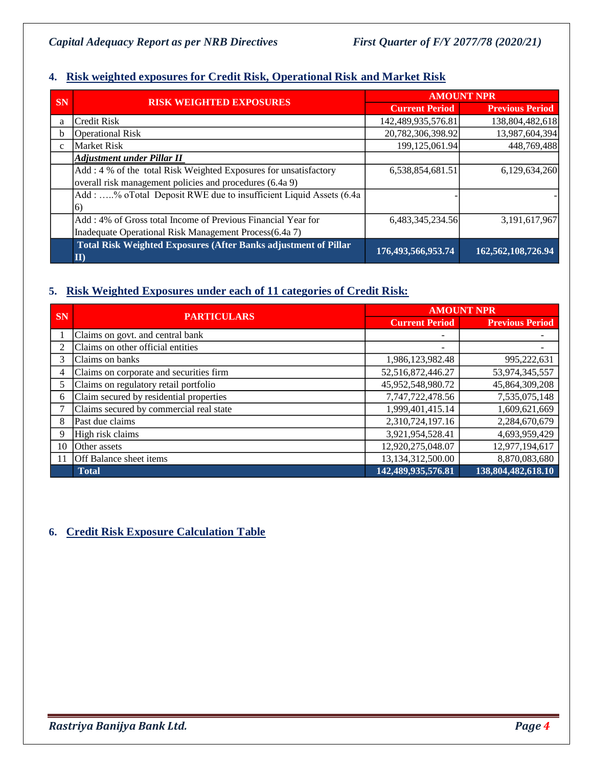# **4. Risk weighted exposures for Credit Risk, Operational Risk and Market Risk**

|              |                                                                        |                       | <b>AMOUNT NPR</b>      |
|--------------|------------------------------------------------------------------------|-----------------------|------------------------|
| <b>SN</b>    | <b>RISK WEIGHTED EXPOSURES</b>                                         | <b>Current Period</b> | <b>Previous Period</b> |
| a            | <b>Credit Risk</b>                                                     | 142,489,935,576.81    | 138,804,482,618        |
| <sub>h</sub> | <b>Operational Risk</b>                                                | 20,782,306,398.92     | 13,987,604,394         |
| $\mathbf{C}$ | <b>Market Risk</b>                                                     | 199,125,061.94        | 448,769,488            |
|              | <b>Adjustment under Pillar II</b>                                      |                       |                        |
|              | Add: 4 % of the total Risk Weighted Exposures for unsatisfactory       | 6,538,854,681.51      | 6,129,634,260          |
|              | overall risk management policies and procedures (6.4a 9)               |                       |                        |
|              | Add: % oTotal Deposit RWE due to insufficient Liquid Assets (6.4a      |                       |                        |
|              | 6)                                                                     |                       |                        |
|              | Add: 4% of Gross total Income of Previous Financial Year for           | 6,483,345,234.56      | 3,191,617,967          |
|              | Inadequate Operational Risk Management Process(6.4a 7)                 |                       |                        |
|              | Total Risk Weighted Exposures (After Banks adjustment of Pillar<br>II) | 176,493,566,953.74    | 162,562,108,726.94     |

# **5. Risk Weighted Exposures under each of 11 categories of Credit Risk:**

| <b>SN</b> | <b>PARTICULARS</b>                      | <b>AMOUNT NPR</b>     |                        |  |
|-----------|-----------------------------------------|-----------------------|------------------------|--|
|           |                                         | <b>Current Period</b> | <b>Previous Period</b> |  |
|           | Claims on govt. and central bank        |                       |                        |  |
| 2         | Claims on other official entities       |                       |                        |  |
| 3         | Claims on banks                         | 1,986,123,982.48      | 995,222,631            |  |
| 4         | Claims on corporate and securities firm | 52,516,872,446.27     | 53,974,345,557         |  |
| 5         | Claims on regulatory retail portfolio   | 45,952,548,980.72     | 45,864,309,208         |  |
| 6         | Claim secured by residential properties | 7,747,722,478.56      | 7,535,075,148          |  |
|           | Claims secured by commercial real state | 1,999,401,415.14      | 1,609,621,669          |  |
| 8         | Past due claims                         | 2,310,724,197.16      | 2,284,670,679          |  |
| 9         | High risk claims                        | 3,921,954,528.41      | 4,693,959,429          |  |
| 10        | Other assets                            | 12,920,275,048.07     | 12,977,194,617         |  |
| 11        | <b>Off Balance sheet items</b>          | 13,134,312,500.00     | 8,870,083,680          |  |
|           | <b>Total</b>                            | 142,489,935,576.81    | 138,804,482,618.10     |  |

# **6. Credit Risk Exposure Calculation Table**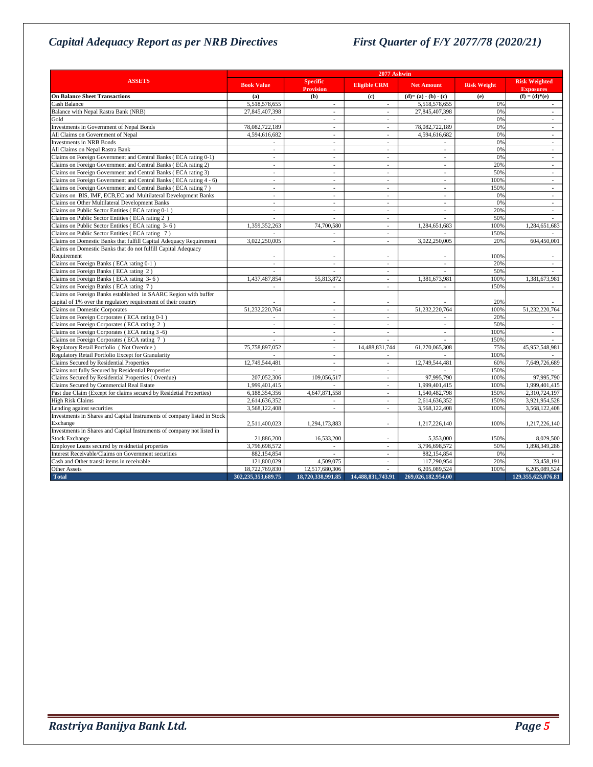| <b>ASSETS</b><br>Specific<br><b>Risk Weighted</b><br><b>Eligible CRM</b><br><b>Book Value</b><br><b>Net Amount</b><br><b>Risk Weight</b><br><b>Provision</b><br><b>Exposures</b><br>$(f) = (d)*(e)$<br><b>On Balance Sheet Transactions</b><br>(b)<br>$(d)=(a)-(b)-(c)$<br>(a)<br>(c)<br>(e)<br>Cash Balance<br>5,518,578,655<br>5,518,578,655<br>0%<br>$\overline{\phantom{a}}$<br>٠<br>Balance with Nepal Rastra Bank (NRB)<br>27,845,407,398<br>27,845,407,398<br>0%<br>$\mathcal{L}$<br>$\mathcal{L}_{\mathcal{A}}$<br>$\sim$<br>Gold<br>0%<br>$\overline{\phantom{a}}$<br>$\sim$<br>Investments in Government of Nepal Bonds<br>78,082,722,189<br>78,082,722,189<br>0%<br>$\mathcal{L}_{\mathcal{A}}$<br>$\overline{a}$<br>$\sim$<br>All Claims on Government of Nepal<br>4,594,616,682<br>4,594,616,682<br>0%<br><b>Investments in NRB Bonds</b><br>0%<br>$\sim$<br>$\overline{a}$<br>$\sim$<br>All Claims on Nepal Rastra Bank<br>0%<br>÷<br>$\sim$<br>$\sim$<br>$\sim$<br>$\sim$<br>Claims on Foreign Government and Central Banks (ECA rating 0-1)<br>0%<br>$\overline{\phantom{a}}$<br>$\overline{\phantom{a}}$<br>$\sim$<br>$\overline{a}$<br>$\sim$<br>20%<br>Claims on Foreign Government and Central Banks (ECA rating 2)<br>٠<br>٠<br>$\overline{\phantom{a}}$<br>٠<br>50%<br>Claims on Foreign Government and Central Banks (ECA rating 3)<br>$\mathcal{L}$<br>$\mathcal{L}$<br>$\overline{a}$<br>$\overline{a}$<br>$\mathcal{L}$<br>Claims on Foreign Government and Central Banks (ECA rating 4 - 6)<br>100%<br>÷<br>$\overline{a}$<br>$\overline{a}$<br>$\overline{\phantom{a}}$<br>$\sim$<br>Claims on Foreign Government and Central Banks (ECA rating 7)<br>150%<br>$\overline{\phantom{a}}$<br>$\overline{\phantom{a}}$<br>٠<br>$\sim$<br>$\sim$<br>Claims on BIS, IMF, ECB,EC and Multilateral Development Banks<br>0%<br>$\overline{a}$<br>$\overline{a}$<br>$\overline{\phantom{a}}$<br>٠<br>٠<br>Claims on Other Multilateral Development Banks<br>0%<br>$\sim$<br>$\overline{a}$<br>$\overline{a}$<br>$\overline{a}$<br>$\overline{a}$<br>Claims on Public Sector Entities (ECA rating 0-1)<br>20%<br>$\overline{a}$<br>$\sim$<br>$\sim$<br>$\sim$<br>$\sim$<br>Claims on Public Sector Entities (ECA rating 2)<br>50%<br>$\sim$<br>Claims on Public Sector Entities (ECA rating 3-6)<br>100%<br>1,359,352,263<br>74,700,580<br>1,284,651,683<br>1,284,651,683<br>$\sim$<br>150%<br>Claims on Public Sector Entities (ECA rating 7)<br>$\sim$<br>$\sim$<br>Claims on Domestic Banks that fulfill Capital Adequacy Requirement<br>3,022,250,005<br>3,022,250,005<br>20%<br>604,450,001<br>$\overline{a}$<br>$\mathcal{L}$<br>Claims on Domestic Banks that do not fulfill Capital Adequacy<br>Requirement<br>100%<br>Claims on Foreign Banks (ECA rating 0-1)<br>20%<br>$\mathcal{L}$<br>$\mathcal{L}$<br>$\mathcal{L}$<br>$\sim$<br>÷<br>50%<br>Claims on Foreign Banks (ECA rating 2)<br>$\sim$<br>$\mathcal{L}$<br>$\mathcal{L}$<br>$\mathcal{L}$<br>Claims on Foreign Banks (ECA rating 3-6)<br>55,813,872<br>100%<br>1,437,487,854<br>1,381,673,981<br>1,381,673,981<br>٠<br>Claims on Foreign Banks (ECA rating 7)<br>150%<br>$\overline{\phantom{a}}$<br>$\sim$<br>÷<br>$\sim$<br>Claims on Foreign Banks established in SAARC Region with buffer<br>capital of 1% over the regulatory requirement of their country<br>20%<br>51,232,220,764<br>51,232,220,764<br>51,232,220,764<br>Claims on Domestic Corporates<br>100%<br>$\overline{\phantom{a}}$<br>$\overline{\phantom{a}}$<br>Claims on Foreign Corporates (ECA rating 0-1)<br>20%<br>٠<br>$\overline{\phantom{a}}$<br>$\sim$<br>٠<br>Claims on Foreign Corporates (ECA rating 2)<br>50%<br>÷,<br>$\overline{a}$<br>$\sim$<br>100%<br>Claims on Foreign Corporates (ECA rating 3 -6)<br>$\overline{\phantom{a}}$<br>$\sim$<br>$\mathcal{L}$<br>$\sim$<br>$\sim$<br>Claims on Foreign Corporates (ECA rating 7)<br>150%<br>٠<br>٠<br>Regulatory Retail Portfolio (Not Overdue)<br>75,758,897,052<br>75%<br>14,488,831,744<br>61,270,065,308<br>45,952,548,981<br>÷.<br>Regulatory Retail Portfolio Except for Granularity<br>100%<br>٠<br>Claims Secured by Residential Properties<br>12,749,544,481<br>12,749,544,481<br>60%<br>7,649,726,689<br>$\mathcal{L}_{\mathcal{A}}$<br>$\mathcal{L}_{\mathcal{A}}$<br>Claims not fully Secured by Residential Properties<br>150%<br>$\overline{\phantom{a}}$<br>$\overline{\phantom{a}}$<br>Claims Secured by Residential Properties (Overdue)<br>97,995,790<br>207,052,306<br>109,056,517<br>100%<br>97,995,790<br>$\mathcal{L}$<br>Claims Secured by Commercial Real Estate<br>1.999.401.415<br>1.999.401.415<br>100%<br>1,999,401,415<br>$\overline{\phantom{a}}$<br>Past due Claim (Except for claims secured by Residetial Properties)<br>6,188,354,356<br>4,647,871,558<br>1,540,482,798<br>150%<br>2,310,724,197<br>$\mathcal{L}$<br>High Risk Claims<br>2,614,636,352<br>2,614,636,352<br>3,921,954,528<br>150%<br>$\sim$<br>3,568,122,408<br>3,568,122,408<br>3,568,122,408<br>Lending against securities<br>100%<br>$\mathcal{L}_{\mathcal{A}}$<br>$\sim$<br>Investments in Shares and Capital Instruments of company listed in Stock<br>Exchange<br>100%<br>2,511,400,023<br>1,294,173,883<br>1,217,226,140<br>1,217,226,140<br>$\overline{a}$<br>Investments in Shares and Capital Instruments of company not listed in<br><b>Stock Exchange</b><br>21,886,200<br>16,533,200<br>5,353,000<br>150%<br>8,029,500<br>Employee Loans secured by residnetial properties<br>3,796,698,572<br>3,796,698,572<br>50%<br>1.898.349.286<br>$\overline{\phantom{a}}$<br>$\overline{\phantom{a}}$<br>Interest Receivable/Claims on Government securities<br>882,154,854<br>882,154,854<br>0%<br>$\overline{a}$<br>$\mathcal{L}$<br>117,290,954<br>Cash and Other transit items in receivable<br>121,800,029<br>4,509,075<br>23,458,191<br>20%<br>$\sim$<br>Other Assets<br>18,722,769,830<br>12,517,680,306<br>6,205,089,524<br>100%<br>6,205,089,524<br>$\sim$ | 2077 Ashwin |  |  |  |                    |
|--------------------------------------------------------------------------------------------------------------------------------------------------------------------------------------------------------------------------------------------------------------------------------------------------------------------------------------------------------------------------------------------------------------------------------------------------------------------------------------------------------------------------------------------------------------------------------------------------------------------------------------------------------------------------------------------------------------------------------------------------------------------------------------------------------------------------------------------------------------------------------------------------------------------------------------------------------------------------------------------------------------------------------------------------------------------------------------------------------------------------------------------------------------------------------------------------------------------------------------------------------------------------------------------------------------------------------------------------------------------------------------------------------------------------------------------------------------------------------------------------------------------------------------------------------------------------------------------------------------------------------------------------------------------------------------------------------------------------------------------------------------------------------------------------------------------------------------------------------------------------------------------------------------------------------------------------------------------------------------------------------------------------------------------------------------------------------------------------------------------------------------------------------------------------------------------------------------------------------------------------------------------------------------------------------------------------------------------------------------------------------------------------------------------------------------------------------------------------------------------------------------------------------------------------------------------------------------------------------------------------------------------------------------------------------------------------------------------------------------------------------------------------------------------------------------------------------------------------------------------------------------------------------------------------------------------------------------------------------------------------------------------------------------------------------------------------------------------------------------------------------------------------------------------------------------------------------------------------------------------------------------------------------------------------------------------------------------------------------------------------------------------------------------------------------------------------------------------------------------------------------------------------------------------------------------------------------------------------------------------------------------------------------------------------------------------------------------------------------------------------------------------------------------------------------------------------------------------------------------------------------------------------------------------------------------------------------------------------------------------------------------------------------------------------------------------------------------------------------------------------------------------------------------------------------------------------------------------------------------------------------------------------------------------------------------------------------------------------------------------------------------------------------------------------------------------------------------------------------------------------------------------------------------------------------------------------------------------------------------------------------------------------------------------------------------------------------------------------------------------------------------------------------------------------------------------------------------------------------------------------------------------------------------------------------------------------------------------------------------------------------------------------------------------------------------------------------------------------------------------------------------------------------------------------------------------------------------------------------------------------------------------------------------------------------------------------------------------------------------------------------------------------------------------------------------------------------------------------------------------------------------------------------------------------------------------------------------------------------------------------------------------------------------------------------------------------------------------------------------------------------------------------------------------------------------------------------------------------------------------------------------------------------------------------------------------------------------------------------------------------|-------------|--|--|--|--------------------|
|                                                                                                                                                                                                                                                                                                                                                                                                                                                                                                                                                                                                                                                                                                                                                                                                                                                                                                                                                                                                                                                                                                                                                                                                                                                                                                                                                                                                                                                                                                                                                                                                                                                                                                                                                                                                                                                                                                                                                                                                                                                                                                                                                                                                                                                                                                                                                                                                                                                                                                                                                                                                                                                                                                                                                                                                                                                                                                                                                                                                                                                                                                                                                                                                                                                                                                                                                                                                                                                                                                                                                                                                                                                                                                                                                                                                                                                                                                                                                                                                                                                                                                                                                                                                                                                                                                                                                                                                                                                                                                                                                                                                                                                                                                                                                                                                                                                                                                                                                                                                                                                                                                                                                                                                                                                                                                                                                                                                                                                                                                                                                                                                                                                                                                                                                                                                                                                                                                                                                                                                  |             |  |  |  |                    |
|                                                                                                                                                                                                                                                                                                                                                                                                                                                                                                                                                                                                                                                                                                                                                                                                                                                                                                                                                                                                                                                                                                                                                                                                                                                                                                                                                                                                                                                                                                                                                                                                                                                                                                                                                                                                                                                                                                                                                                                                                                                                                                                                                                                                                                                                                                                                                                                                                                                                                                                                                                                                                                                                                                                                                                                                                                                                                                                                                                                                                                                                                                                                                                                                                                                                                                                                                                                                                                                                                                                                                                                                                                                                                                                                                                                                                                                                                                                                                                                                                                                                                                                                                                                                                                                                                                                                                                                                                                                                                                                                                                                                                                                                                                                                                                                                                                                                                                                                                                                                                                                                                                                                                                                                                                                                                                                                                                                                                                                                                                                                                                                                                                                                                                                                                                                                                                                                                                                                                                                                  |             |  |  |  |                    |
|                                                                                                                                                                                                                                                                                                                                                                                                                                                                                                                                                                                                                                                                                                                                                                                                                                                                                                                                                                                                                                                                                                                                                                                                                                                                                                                                                                                                                                                                                                                                                                                                                                                                                                                                                                                                                                                                                                                                                                                                                                                                                                                                                                                                                                                                                                                                                                                                                                                                                                                                                                                                                                                                                                                                                                                                                                                                                                                                                                                                                                                                                                                                                                                                                                                                                                                                                                                                                                                                                                                                                                                                                                                                                                                                                                                                                                                                                                                                                                                                                                                                                                                                                                                                                                                                                                                                                                                                                                                                                                                                                                                                                                                                                                                                                                                                                                                                                                                                                                                                                                                                                                                                                                                                                                                                                                                                                                                                                                                                                                                                                                                                                                                                                                                                                                                                                                                                                                                                                                                                  |             |  |  |  |                    |
|                                                                                                                                                                                                                                                                                                                                                                                                                                                                                                                                                                                                                                                                                                                                                                                                                                                                                                                                                                                                                                                                                                                                                                                                                                                                                                                                                                                                                                                                                                                                                                                                                                                                                                                                                                                                                                                                                                                                                                                                                                                                                                                                                                                                                                                                                                                                                                                                                                                                                                                                                                                                                                                                                                                                                                                                                                                                                                                                                                                                                                                                                                                                                                                                                                                                                                                                                                                                                                                                                                                                                                                                                                                                                                                                                                                                                                                                                                                                                                                                                                                                                                                                                                                                                                                                                                                                                                                                                                                                                                                                                                                                                                                                                                                                                                                                                                                                                                                                                                                                                                                                                                                                                                                                                                                                                                                                                                                                                                                                                                                                                                                                                                                                                                                                                                                                                                                                                                                                                                                                  |             |  |  |  |                    |
|                                                                                                                                                                                                                                                                                                                                                                                                                                                                                                                                                                                                                                                                                                                                                                                                                                                                                                                                                                                                                                                                                                                                                                                                                                                                                                                                                                                                                                                                                                                                                                                                                                                                                                                                                                                                                                                                                                                                                                                                                                                                                                                                                                                                                                                                                                                                                                                                                                                                                                                                                                                                                                                                                                                                                                                                                                                                                                                                                                                                                                                                                                                                                                                                                                                                                                                                                                                                                                                                                                                                                                                                                                                                                                                                                                                                                                                                                                                                                                                                                                                                                                                                                                                                                                                                                                                                                                                                                                                                                                                                                                                                                                                                                                                                                                                                                                                                                                                                                                                                                                                                                                                                                                                                                                                                                                                                                                                                                                                                                                                                                                                                                                                                                                                                                                                                                                                                                                                                                                                                  |             |  |  |  |                    |
|                                                                                                                                                                                                                                                                                                                                                                                                                                                                                                                                                                                                                                                                                                                                                                                                                                                                                                                                                                                                                                                                                                                                                                                                                                                                                                                                                                                                                                                                                                                                                                                                                                                                                                                                                                                                                                                                                                                                                                                                                                                                                                                                                                                                                                                                                                                                                                                                                                                                                                                                                                                                                                                                                                                                                                                                                                                                                                                                                                                                                                                                                                                                                                                                                                                                                                                                                                                                                                                                                                                                                                                                                                                                                                                                                                                                                                                                                                                                                                                                                                                                                                                                                                                                                                                                                                                                                                                                                                                                                                                                                                                                                                                                                                                                                                                                                                                                                                                                                                                                                                                                                                                                                                                                                                                                                                                                                                                                                                                                                                                                                                                                                                                                                                                                                                                                                                                                                                                                                                                                  |             |  |  |  |                    |
|                                                                                                                                                                                                                                                                                                                                                                                                                                                                                                                                                                                                                                                                                                                                                                                                                                                                                                                                                                                                                                                                                                                                                                                                                                                                                                                                                                                                                                                                                                                                                                                                                                                                                                                                                                                                                                                                                                                                                                                                                                                                                                                                                                                                                                                                                                                                                                                                                                                                                                                                                                                                                                                                                                                                                                                                                                                                                                                                                                                                                                                                                                                                                                                                                                                                                                                                                                                                                                                                                                                                                                                                                                                                                                                                                                                                                                                                                                                                                                                                                                                                                                                                                                                                                                                                                                                                                                                                                                                                                                                                                                                                                                                                                                                                                                                                                                                                                                                                                                                                                                                                                                                                                                                                                                                                                                                                                                                                                                                                                                                                                                                                                                                                                                                                                                                                                                                                                                                                                                                                  |             |  |  |  |                    |
|                                                                                                                                                                                                                                                                                                                                                                                                                                                                                                                                                                                                                                                                                                                                                                                                                                                                                                                                                                                                                                                                                                                                                                                                                                                                                                                                                                                                                                                                                                                                                                                                                                                                                                                                                                                                                                                                                                                                                                                                                                                                                                                                                                                                                                                                                                                                                                                                                                                                                                                                                                                                                                                                                                                                                                                                                                                                                                                                                                                                                                                                                                                                                                                                                                                                                                                                                                                                                                                                                                                                                                                                                                                                                                                                                                                                                                                                                                                                                                                                                                                                                                                                                                                                                                                                                                                                                                                                                                                                                                                                                                                                                                                                                                                                                                                                                                                                                                                                                                                                                                                                                                                                                                                                                                                                                                                                                                                                                                                                                                                                                                                                                                                                                                                                                                                                                                                                                                                                                                                                  |             |  |  |  |                    |
|                                                                                                                                                                                                                                                                                                                                                                                                                                                                                                                                                                                                                                                                                                                                                                                                                                                                                                                                                                                                                                                                                                                                                                                                                                                                                                                                                                                                                                                                                                                                                                                                                                                                                                                                                                                                                                                                                                                                                                                                                                                                                                                                                                                                                                                                                                                                                                                                                                                                                                                                                                                                                                                                                                                                                                                                                                                                                                                                                                                                                                                                                                                                                                                                                                                                                                                                                                                                                                                                                                                                                                                                                                                                                                                                                                                                                                                                                                                                                                                                                                                                                                                                                                                                                                                                                                                                                                                                                                                                                                                                                                                                                                                                                                                                                                                                                                                                                                                                                                                                                                                                                                                                                                                                                                                                                                                                                                                                                                                                                                                                                                                                                                                                                                                                                                                                                                                                                                                                                                                                  |             |  |  |  |                    |
|                                                                                                                                                                                                                                                                                                                                                                                                                                                                                                                                                                                                                                                                                                                                                                                                                                                                                                                                                                                                                                                                                                                                                                                                                                                                                                                                                                                                                                                                                                                                                                                                                                                                                                                                                                                                                                                                                                                                                                                                                                                                                                                                                                                                                                                                                                                                                                                                                                                                                                                                                                                                                                                                                                                                                                                                                                                                                                                                                                                                                                                                                                                                                                                                                                                                                                                                                                                                                                                                                                                                                                                                                                                                                                                                                                                                                                                                                                                                                                                                                                                                                                                                                                                                                                                                                                                                                                                                                                                                                                                                                                                                                                                                                                                                                                                                                                                                                                                                                                                                                                                                                                                                                                                                                                                                                                                                                                                                                                                                                                                                                                                                                                                                                                                                                                                                                                                                                                                                                                                                  |             |  |  |  |                    |
|                                                                                                                                                                                                                                                                                                                                                                                                                                                                                                                                                                                                                                                                                                                                                                                                                                                                                                                                                                                                                                                                                                                                                                                                                                                                                                                                                                                                                                                                                                                                                                                                                                                                                                                                                                                                                                                                                                                                                                                                                                                                                                                                                                                                                                                                                                                                                                                                                                                                                                                                                                                                                                                                                                                                                                                                                                                                                                                                                                                                                                                                                                                                                                                                                                                                                                                                                                                                                                                                                                                                                                                                                                                                                                                                                                                                                                                                                                                                                                                                                                                                                                                                                                                                                                                                                                                                                                                                                                                                                                                                                                                                                                                                                                                                                                                                                                                                                                                                                                                                                                                                                                                                                                                                                                                                                                                                                                                                                                                                                                                                                                                                                                                                                                                                                                                                                                                                                                                                                                                                  |             |  |  |  |                    |
|                                                                                                                                                                                                                                                                                                                                                                                                                                                                                                                                                                                                                                                                                                                                                                                                                                                                                                                                                                                                                                                                                                                                                                                                                                                                                                                                                                                                                                                                                                                                                                                                                                                                                                                                                                                                                                                                                                                                                                                                                                                                                                                                                                                                                                                                                                                                                                                                                                                                                                                                                                                                                                                                                                                                                                                                                                                                                                                                                                                                                                                                                                                                                                                                                                                                                                                                                                                                                                                                                                                                                                                                                                                                                                                                                                                                                                                                                                                                                                                                                                                                                                                                                                                                                                                                                                                                                                                                                                                                                                                                                                                                                                                                                                                                                                                                                                                                                                                                                                                                                                                                                                                                                                                                                                                                                                                                                                                                                                                                                                                                                                                                                                                                                                                                                                                                                                                                                                                                                                                                  |             |  |  |  |                    |
|                                                                                                                                                                                                                                                                                                                                                                                                                                                                                                                                                                                                                                                                                                                                                                                                                                                                                                                                                                                                                                                                                                                                                                                                                                                                                                                                                                                                                                                                                                                                                                                                                                                                                                                                                                                                                                                                                                                                                                                                                                                                                                                                                                                                                                                                                                                                                                                                                                                                                                                                                                                                                                                                                                                                                                                                                                                                                                                                                                                                                                                                                                                                                                                                                                                                                                                                                                                                                                                                                                                                                                                                                                                                                                                                                                                                                                                                                                                                                                                                                                                                                                                                                                                                                                                                                                                                                                                                                                                                                                                                                                                                                                                                                                                                                                                                                                                                                                                                                                                                                                                                                                                                                                                                                                                                                                                                                                                                                                                                                                                                                                                                                                                                                                                                                                                                                                                                                                                                                                                                  |             |  |  |  |                    |
|                                                                                                                                                                                                                                                                                                                                                                                                                                                                                                                                                                                                                                                                                                                                                                                                                                                                                                                                                                                                                                                                                                                                                                                                                                                                                                                                                                                                                                                                                                                                                                                                                                                                                                                                                                                                                                                                                                                                                                                                                                                                                                                                                                                                                                                                                                                                                                                                                                                                                                                                                                                                                                                                                                                                                                                                                                                                                                                                                                                                                                                                                                                                                                                                                                                                                                                                                                                                                                                                                                                                                                                                                                                                                                                                                                                                                                                                                                                                                                                                                                                                                                                                                                                                                                                                                                                                                                                                                                                                                                                                                                                                                                                                                                                                                                                                                                                                                                                                                                                                                                                                                                                                                                                                                                                                                                                                                                                                                                                                                                                                                                                                                                                                                                                                                                                                                                                                                                                                                                                                  |             |  |  |  |                    |
|                                                                                                                                                                                                                                                                                                                                                                                                                                                                                                                                                                                                                                                                                                                                                                                                                                                                                                                                                                                                                                                                                                                                                                                                                                                                                                                                                                                                                                                                                                                                                                                                                                                                                                                                                                                                                                                                                                                                                                                                                                                                                                                                                                                                                                                                                                                                                                                                                                                                                                                                                                                                                                                                                                                                                                                                                                                                                                                                                                                                                                                                                                                                                                                                                                                                                                                                                                                                                                                                                                                                                                                                                                                                                                                                                                                                                                                                                                                                                                                                                                                                                                                                                                                                                                                                                                                                                                                                                                                                                                                                                                                                                                                                                                                                                                                                                                                                                                                                                                                                                                                                                                                                                                                                                                                                                                                                                                                                                                                                                                                                                                                                                                                                                                                                                                                                                                                                                                                                                                                                  |             |  |  |  |                    |
|                                                                                                                                                                                                                                                                                                                                                                                                                                                                                                                                                                                                                                                                                                                                                                                                                                                                                                                                                                                                                                                                                                                                                                                                                                                                                                                                                                                                                                                                                                                                                                                                                                                                                                                                                                                                                                                                                                                                                                                                                                                                                                                                                                                                                                                                                                                                                                                                                                                                                                                                                                                                                                                                                                                                                                                                                                                                                                                                                                                                                                                                                                                                                                                                                                                                                                                                                                                                                                                                                                                                                                                                                                                                                                                                                                                                                                                                                                                                                                                                                                                                                                                                                                                                                                                                                                                                                                                                                                                                                                                                                                                                                                                                                                                                                                                                                                                                                                                                                                                                                                                                                                                                                                                                                                                                                                                                                                                                                                                                                                                                                                                                                                                                                                                                                                                                                                                                                                                                                                                                  |             |  |  |  |                    |
|                                                                                                                                                                                                                                                                                                                                                                                                                                                                                                                                                                                                                                                                                                                                                                                                                                                                                                                                                                                                                                                                                                                                                                                                                                                                                                                                                                                                                                                                                                                                                                                                                                                                                                                                                                                                                                                                                                                                                                                                                                                                                                                                                                                                                                                                                                                                                                                                                                                                                                                                                                                                                                                                                                                                                                                                                                                                                                                                                                                                                                                                                                                                                                                                                                                                                                                                                                                                                                                                                                                                                                                                                                                                                                                                                                                                                                                                                                                                                                                                                                                                                                                                                                                                                                                                                                                                                                                                                                                                                                                                                                                                                                                                                                                                                                                                                                                                                                                                                                                                                                                                                                                                                                                                                                                                                                                                                                                                                                                                                                                                                                                                                                                                                                                                                                                                                                                                                                                                                                                                  |             |  |  |  |                    |
|                                                                                                                                                                                                                                                                                                                                                                                                                                                                                                                                                                                                                                                                                                                                                                                                                                                                                                                                                                                                                                                                                                                                                                                                                                                                                                                                                                                                                                                                                                                                                                                                                                                                                                                                                                                                                                                                                                                                                                                                                                                                                                                                                                                                                                                                                                                                                                                                                                                                                                                                                                                                                                                                                                                                                                                                                                                                                                                                                                                                                                                                                                                                                                                                                                                                                                                                                                                                                                                                                                                                                                                                                                                                                                                                                                                                                                                                                                                                                                                                                                                                                                                                                                                                                                                                                                                                                                                                                                                                                                                                                                                                                                                                                                                                                                                                                                                                                                                                                                                                                                                                                                                                                                                                                                                                                                                                                                                                                                                                                                                                                                                                                                                                                                                                                                                                                                                                                                                                                                                                  |             |  |  |  |                    |
|                                                                                                                                                                                                                                                                                                                                                                                                                                                                                                                                                                                                                                                                                                                                                                                                                                                                                                                                                                                                                                                                                                                                                                                                                                                                                                                                                                                                                                                                                                                                                                                                                                                                                                                                                                                                                                                                                                                                                                                                                                                                                                                                                                                                                                                                                                                                                                                                                                                                                                                                                                                                                                                                                                                                                                                                                                                                                                                                                                                                                                                                                                                                                                                                                                                                                                                                                                                                                                                                                                                                                                                                                                                                                                                                                                                                                                                                                                                                                                                                                                                                                                                                                                                                                                                                                                                                                                                                                                                                                                                                                                                                                                                                                                                                                                                                                                                                                                                                                                                                                                                                                                                                                                                                                                                                                                                                                                                                                                                                                                                                                                                                                                                                                                                                                                                                                                                                                                                                                                                                  |             |  |  |  |                    |
|                                                                                                                                                                                                                                                                                                                                                                                                                                                                                                                                                                                                                                                                                                                                                                                                                                                                                                                                                                                                                                                                                                                                                                                                                                                                                                                                                                                                                                                                                                                                                                                                                                                                                                                                                                                                                                                                                                                                                                                                                                                                                                                                                                                                                                                                                                                                                                                                                                                                                                                                                                                                                                                                                                                                                                                                                                                                                                                                                                                                                                                                                                                                                                                                                                                                                                                                                                                                                                                                                                                                                                                                                                                                                                                                                                                                                                                                                                                                                                                                                                                                                                                                                                                                                                                                                                                                                                                                                                                                                                                                                                                                                                                                                                                                                                                                                                                                                                                                                                                                                                                                                                                                                                                                                                                                                                                                                                                                                                                                                                                                                                                                                                                                                                                                                                                                                                                                                                                                                                                                  |             |  |  |  |                    |
|                                                                                                                                                                                                                                                                                                                                                                                                                                                                                                                                                                                                                                                                                                                                                                                                                                                                                                                                                                                                                                                                                                                                                                                                                                                                                                                                                                                                                                                                                                                                                                                                                                                                                                                                                                                                                                                                                                                                                                                                                                                                                                                                                                                                                                                                                                                                                                                                                                                                                                                                                                                                                                                                                                                                                                                                                                                                                                                                                                                                                                                                                                                                                                                                                                                                                                                                                                                                                                                                                                                                                                                                                                                                                                                                                                                                                                                                                                                                                                                                                                                                                                                                                                                                                                                                                                                                                                                                                                                                                                                                                                                                                                                                                                                                                                                                                                                                                                                                                                                                                                                                                                                                                                                                                                                                                                                                                                                                                                                                                                                                                                                                                                                                                                                                                                                                                                                                                                                                                                                                  |             |  |  |  |                    |
|                                                                                                                                                                                                                                                                                                                                                                                                                                                                                                                                                                                                                                                                                                                                                                                                                                                                                                                                                                                                                                                                                                                                                                                                                                                                                                                                                                                                                                                                                                                                                                                                                                                                                                                                                                                                                                                                                                                                                                                                                                                                                                                                                                                                                                                                                                                                                                                                                                                                                                                                                                                                                                                                                                                                                                                                                                                                                                                                                                                                                                                                                                                                                                                                                                                                                                                                                                                                                                                                                                                                                                                                                                                                                                                                                                                                                                                                                                                                                                                                                                                                                                                                                                                                                                                                                                                                                                                                                                                                                                                                                                                                                                                                                                                                                                                                                                                                                                                                                                                                                                                                                                                                                                                                                                                                                                                                                                                                                                                                                                                                                                                                                                                                                                                                                                                                                                                                                                                                                                                                  |             |  |  |  |                    |
|                                                                                                                                                                                                                                                                                                                                                                                                                                                                                                                                                                                                                                                                                                                                                                                                                                                                                                                                                                                                                                                                                                                                                                                                                                                                                                                                                                                                                                                                                                                                                                                                                                                                                                                                                                                                                                                                                                                                                                                                                                                                                                                                                                                                                                                                                                                                                                                                                                                                                                                                                                                                                                                                                                                                                                                                                                                                                                                                                                                                                                                                                                                                                                                                                                                                                                                                                                                                                                                                                                                                                                                                                                                                                                                                                                                                                                                                                                                                                                                                                                                                                                                                                                                                                                                                                                                                                                                                                                                                                                                                                                                                                                                                                                                                                                                                                                                                                                                                                                                                                                                                                                                                                                                                                                                                                                                                                                                                                                                                                                                                                                                                                                                                                                                                                                                                                                                                                                                                                                                                  |             |  |  |  |                    |
|                                                                                                                                                                                                                                                                                                                                                                                                                                                                                                                                                                                                                                                                                                                                                                                                                                                                                                                                                                                                                                                                                                                                                                                                                                                                                                                                                                                                                                                                                                                                                                                                                                                                                                                                                                                                                                                                                                                                                                                                                                                                                                                                                                                                                                                                                                                                                                                                                                                                                                                                                                                                                                                                                                                                                                                                                                                                                                                                                                                                                                                                                                                                                                                                                                                                                                                                                                                                                                                                                                                                                                                                                                                                                                                                                                                                                                                                                                                                                                                                                                                                                                                                                                                                                                                                                                                                                                                                                                                                                                                                                                                                                                                                                                                                                                                                                                                                                                                                                                                                                                                                                                                                                                                                                                                                                                                                                                                                                                                                                                                                                                                                                                                                                                                                                                                                                                                                                                                                                                                                  |             |  |  |  |                    |
|                                                                                                                                                                                                                                                                                                                                                                                                                                                                                                                                                                                                                                                                                                                                                                                                                                                                                                                                                                                                                                                                                                                                                                                                                                                                                                                                                                                                                                                                                                                                                                                                                                                                                                                                                                                                                                                                                                                                                                                                                                                                                                                                                                                                                                                                                                                                                                                                                                                                                                                                                                                                                                                                                                                                                                                                                                                                                                                                                                                                                                                                                                                                                                                                                                                                                                                                                                                                                                                                                                                                                                                                                                                                                                                                                                                                                                                                                                                                                                                                                                                                                                                                                                                                                                                                                                                                                                                                                                                                                                                                                                                                                                                                                                                                                                                                                                                                                                                                                                                                                                                                                                                                                                                                                                                                                                                                                                                                                                                                                                                                                                                                                                                                                                                                                                                                                                                                                                                                                                                                  |             |  |  |  |                    |
|                                                                                                                                                                                                                                                                                                                                                                                                                                                                                                                                                                                                                                                                                                                                                                                                                                                                                                                                                                                                                                                                                                                                                                                                                                                                                                                                                                                                                                                                                                                                                                                                                                                                                                                                                                                                                                                                                                                                                                                                                                                                                                                                                                                                                                                                                                                                                                                                                                                                                                                                                                                                                                                                                                                                                                                                                                                                                                                                                                                                                                                                                                                                                                                                                                                                                                                                                                                                                                                                                                                                                                                                                                                                                                                                                                                                                                                                                                                                                                                                                                                                                                                                                                                                                                                                                                                                                                                                                                                                                                                                                                                                                                                                                                                                                                                                                                                                                                                                                                                                                                                                                                                                                                                                                                                                                                                                                                                                                                                                                                                                                                                                                                                                                                                                                                                                                                                                                                                                                                                                  |             |  |  |  |                    |
|                                                                                                                                                                                                                                                                                                                                                                                                                                                                                                                                                                                                                                                                                                                                                                                                                                                                                                                                                                                                                                                                                                                                                                                                                                                                                                                                                                                                                                                                                                                                                                                                                                                                                                                                                                                                                                                                                                                                                                                                                                                                                                                                                                                                                                                                                                                                                                                                                                                                                                                                                                                                                                                                                                                                                                                                                                                                                                                                                                                                                                                                                                                                                                                                                                                                                                                                                                                                                                                                                                                                                                                                                                                                                                                                                                                                                                                                                                                                                                                                                                                                                                                                                                                                                                                                                                                                                                                                                                                                                                                                                                                                                                                                                                                                                                                                                                                                                                                                                                                                                                                                                                                                                                                                                                                                                                                                                                                                                                                                                                                                                                                                                                                                                                                                                                                                                                                                                                                                                                                                  |             |  |  |  |                    |
|                                                                                                                                                                                                                                                                                                                                                                                                                                                                                                                                                                                                                                                                                                                                                                                                                                                                                                                                                                                                                                                                                                                                                                                                                                                                                                                                                                                                                                                                                                                                                                                                                                                                                                                                                                                                                                                                                                                                                                                                                                                                                                                                                                                                                                                                                                                                                                                                                                                                                                                                                                                                                                                                                                                                                                                                                                                                                                                                                                                                                                                                                                                                                                                                                                                                                                                                                                                                                                                                                                                                                                                                                                                                                                                                                                                                                                                                                                                                                                                                                                                                                                                                                                                                                                                                                                                                                                                                                                                                                                                                                                                                                                                                                                                                                                                                                                                                                                                                                                                                                                                                                                                                                                                                                                                                                                                                                                                                                                                                                                                                                                                                                                                                                                                                                                                                                                                                                                                                                                                                  |             |  |  |  |                    |
|                                                                                                                                                                                                                                                                                                                                                                                                                                                                                                                                                                                                                                                                                                                                                                                                                                                                                                                                                                                                                                                                                                                                                                                                                                                                                                                                                                                                                                                                                                                                                                                                                                                                                                                                                                                                                                                                                                                                                                                                                                                                                                                                                                                                                                                                                                                                                                                                                                                                                                                                                                                                                                                                                                                                                                                                                                                                                                                                                                                                                                                                                                                                                                                                                                                                                                                                                                                                                                                                                                                                                                                                                                                                                                                                                                                                                                                                                                                                                                                                                                                                                                                                                                                                                                                                                                                                                                                                                                                                                                                                                                                                                                                                                                                                                                                                                                                                                                                                                                                                                                                                                                                                                                                                                                                                                                                                                                                                                                                                                                                                                                                                                                                                                                                                                                                                                                                                                                                                                                                                  |             |  |  |  |                    |
|                                                                                                                                                                                                                                                                                                                                                                                                                                                                                                                                                                                                                                                                                                                                                                                                                                                                                                                                                                                                                                                                                                                                                                                                                                                                                                                                                                                                                                                                                                                                                                                                                                                                                                                                                                                                                                                                                                                                                                                                                                                                                                                                                                                                                                                                                                                                                                                                                                                                                                                                                                                                                                                                                                                                                                                                                                                                                                                                                                                                                                                                                                                                                                                                                                                                                                                                                                                                                                                                                                                                                                                                                                                                                                                                                                                                                                                                                                                                                                                                                                                                                                                                                                                                                                                                                                                                                                                                                                                                                                                                                                                                                                                                                                                                                                                                                                                                                                                                                                                                                                                                                                                                                                                                                                                                                                                                                                                                                                                                                                                                                                                                                                                                                                                                                                                                                                                                                                                                                                                                  |             |  |  |  |                    |
|                                                                                                                                                                                                                                                                                                                                                                                                                                                                                                                                                                                                                                                                                                                                                                                                                                                                                                                                                                                                                                                                                                                                                                                                                                                                                                                                                                                                                                                                                                                                                                                                                                                                                                                                                                                                                                                                                                                                                                                                                                                                                                                                                                                                                                                                                                                                                                                                                                                                                                                                                                                                                                                                                                                                                                                                                                                                                                                                                                                                                                                                                                                                                                                                                                                                                                                                                                                                                                                                                                                                                                                                                                                                                                                                                                                                                                                                                                                                                                                                                                                                                                                                                                                                                                                                                                                                                                                                                                                                                                                                                                                                                                                                                                                                                                                                                                                                                                                                                                                                                                                                                                                                                                                                                                                                                                                                                                                                                                                                                                                                                                                                                                                                                                                                                                                                                                                                                                                                                                                                  |             |  |  |  |                    |
|                                                                                                                                                                                                                                                                                                                                                                                                                                                                                                                                                                                                                                                                                                                                                                                                                                                                                                                                                                                                                                                                                                                                                                                                                                                                                                                                                                                                                                                                                                                                                                                                                                                                                                                                                                                                                                                                                                                                                                                                                                                                                                                                                                                                                                                                                                                                                                                                                                                                                                                                                                                                                                                                                                                                                                                                                                                                                                                                                                                                                                                                                                                                                                                                                                                                                                                                                                                                                                                                                                                                                                                                                                                                                                                                                                                                                                                                                                                                                                                                                                                                                                                                                                                                                                                                                                                                                                                                                                                                                                                                                                                                                                                                                                                                                                                                                                                                                                                                                                                                                                                                                                                                                                                                                                                                                                                                                                                                                                                                                                                                                                                                                                                                                                                                                                                                                                                                                                                                                                                                  |             |  |  |  |                    |
|                                                                                                                                                                                                                                                                                                                                                                                                                                                                                                                                                                                                                                                                                                                                                                                                                                                                                                                                                                                                                                                                                                                                                                                                                                                                                                                                                                                                                                                                                                                                                                                                                                                                                                                                                                                                                                                                                                                                                                                                                                                                                                                                                                                                                                                                                                                                                                                                                                                                                                                                                                                                                                                                                                                                                                                                                                                                                                                                                                                                                                                                                                                                                                                                                                                                                                                                                                                                                                                                                                                                                                                                                                                                                                                                                                                                                                                                                                                                                                                                                                                                                                                                                                                                                                                                                                                                                                                                                                                                                                                                                                                                                                                                                                                                                                                                                                                                                                                                                                                                                                                                                                                                                                                                                                                                                                                                                                                                                                                                                                                                                                                                                                                                                                                                                                                                                                                                                                                                                                                                  |             |  |  |  |                    |
|                                                                                                                                                                                                                                                                                                                                                                                                                                                                                                                                                                                                                                                                                                                                                                                                                                                                                                                                                                                                                                                                                                                                                                                                                                                                                                                                                                                                                                                                                                                                                                                                                                                                                                                                                                                                                                                                                                                                                                                                                                                                                                                                                                                                                                                                                                                                                                                                                                                                                                                                                                                                                                                                                                                                                                                                                                                                                                                                                                                                                                                                                                                                                                                                                                                                                                                                                                                                                                                                                                                                                                                                                                                                                                                                                                                                                                                                                                                                                                                                                                                                                                                                                                                                                                                                                                                                                                                                                                                                                                                                                                                                                                                                                                                                                                                                                                                                                                                                                                                                                                                                                                                                                                                                                                                                                                                                                                                                                                                                                                                                                                                                                                                                                                                                                                                                                                                                                                                                                                                                  |             |  |  |  |                    |
|                                                                                                                                                                                                                                                                                                                                                                                                                                                                                                                                                                                                                                                                                                                                                                                                                                                                                                                                                                                                                                                                                                                                                                                                                                                                                                                                                                                                                                                                                                                                                                                                                                                                                                                                                                                                                                                                                                                                                                                                                                                                                                                                                                                                                                                                                                                                                                                                                                                                                                                                                                                                                                                                                                                                                                                                                                                                                                                                                                                                                                                                                                                                                                                                                                                                                                                                                                                                                                                                                                                                                                                                                                                                                                                                                                                                                                                                                                                                                                                                                                                                                                                                                                                                                                                                                                                                                                                                                                                                                                                                                                                                                                                                                                                                                                                                                                                                                                                                                                                                                                                                                                                                                                                                                                                                                                                                                                                                                                                                                                                                                                                                                                                                                                                                                                                                                                                                                                                                                                                                  |             |  |  |  |                    |
|                                                                                                                                                                                                                                                                                                                                                                                                                                                                                                                                                                                                                                                                                                                                                                                                                                                                                                                                                                                                                                                                                                                                                                                                                                                                                                                                                                                                                                                                                                                                                                                                                                                                                                                                                                                                                                                                                                                                                                                                                                                                                                                                                                                                                                                                                                                                                                                                                                                                                                                                                                                                                                                                                                                                                                                                                                                                                                                                                                                                                                                                                                                                                                                                                                                                                                                                                                                                                                                                                                                                                                                                                                                                                                                                                                                                                                                                                                                                                                                                                                                                                                                                                                                                                                                                                                                                                                                                                                                                                                                                                                                                                                                                                                                                                                                                                                                                                                                                                                                                                                                                                                                                                                                                                                                                                                                                                                                                                                                                                                                                                                                                                                                                                                                                                                                                                                                                                                                                                                                                  |             |  |  |  |                    |
|                                                                                                                                                                                                                                                                                                                                                                                                                                                                                                                                                                                                                                                                                                                                                                                                                                                                                                                                                                                                                                                                                                                                                                                                                                                                                                                                                                                                                                                                                                                                                                                                                                                                                                                                                                                                                                                                                                                                                                                                                                                                                                                                                                                                                                                                                                                                                                                                                                                                                                                                                                                                                                                                                                                                                                                                                                                                                                                                                                                                                                                                                                                                                                                                                                                                                                                                                                                                                                                                                                                                                                                                                                                                                                                                                                                                                                                                                                                                                                                                                                                                                                                                                                                                                                                                                                                                                                                                                                                                                                                                                                                                                                                                                                                                                                                                                                                                                                                                                                                                                                                                                                                                                                                                                                                                                                                                                                                                                                                                                                                                                                                                                                                                                                                                                                                                                                                                                                                                                                                                  |             |  |  |  |                    |
|                                                                                                                                                                                                                                                                                                                                                                                                                                                                                                                                                                                                                                                                                                                                                                                                                                                                                                                                                                                                                                                                                                                                                                                                                                                                                                                                                                                                                                                                                                                                                                                                                                                                                                                                                                                                                                                                                                                                                                                                                                                                                                                                                                                                                                                                                                                                                                                                                                                                                                                                                                                                                                                                                                                                                                                                                                                                                                                                                                                                                                                                                                                                                                                                                                                                                                                                                                                                                                                                                                                                                                                                                                                                                                                                                                                                                                                                                                                                                                                                                                                                                                                                                                                                                                                                                                                                                                                                                                                                                                                                                                                                                                                                                                                                                                                                                                                                                                                                                                                                                                                                                                                                                                                                                                                                                                                                                                                                                                                                                                                                                                                                                                                                                                                                                                                                                                                                                                                                                                                                  |             |  |  |  |                    |
|                                                                                                                                                                                                                                                                                                                                                                                                                                                                                                                                                                                                                                                                                                                                                                                                                                                                                                                                                                                                                                                                                                                                                                                                                                                                                                                                                                                                                                                                                                                                                                                                                                                                                                                                                                                                                                                                                                                                                                                                                                                                                                                                                                                                                                                                                                                                                                                                                                                                                                                                                                                                                                                                                                                                                                                                                                                                                                                                                                                                                                                                                                                                                                                                                                                                                                                                                                                                                                                                                                                                                                                                                                                                                                                                                                                                                                                                                                                                                                                                                                                                                                                                                                                                                                                                                                                                                                                                                                                                                                                                                                                                                                                                                                                                                                                                                                                                                                                                                                                                                                                                                                                                                                                                                                                                                                                                                                                                                                                                                                                                                                                                                                                                                                                                                                                                                                                                                                                                                                                                  |             |  |  |  |                    |
|                                                                                                                                                                                                                                                                                                                                                                                                                                                                                                                                                                                                                                                                                                                                                                                                                                                                                                                                                                                                                                                                                                                                                                                                                                                                                                                                                                                                                                                                                                                                                                                                                                                                                                                                                                                                                                                                                                                                                                                                                                                                                                                                                                                                                                                                                                                                                                                                                                                                                                                                                                                                                                                                                                                                                                                                                                                                                                                                                                                                                                                                                                                                                                                                                                                                                                                                                                                                                                                                                                                                                                                                                                                                                                                                                                                                                                                                                                                                                                                                                                                                                                                                                                                                                                                                                                                                                                                                                                                                                                                                                                                                                                                                                                                                                                                                                                                                                                                                                                                                                                                                                                                                                                                                                                                                                                                                                                                                                                                                                                                                                                                                                                                                                                                                                                                                                                                                                                                                                                                                  |             |  |  |  |                    |
|                                                                                                                                                                                                                                                                                                                                                                                                                                                                                                                                                                                                                                                                                                                                                                                                                                                                                                                                                                                                                                                                                                                                                                                                                                                                                                                                                                                                                                                                                                                                                                                                                                                                                                                                                                                                                                                                                                                                                                                                                                                                                                                                                                                                                                                                                                                                                                                                                                                                                                                                                                                                                                                                                                                                                                                                                                                                                                                                                                                                                                                                                                                                                                                                                                                                                                                                                                                                                                                                                                                                                                                                                                                                                                                                                                                                                                                                                                                                                                                                                                                                                                                                                                                                                                                                                                                                                                                                                                                                                                                                                                                                                                                                                                                                                                                                                                                                                                                                                                                                                                                                                                                                                                                                                                                                                                                                                                                                                                                                                                                                                                                                                                                                                                                                                                                                                                                                                                                                                                                                  |             |  |  |  |                    |
|                                                                                                                                                                                                                                                                                                                                                                                                                                                                                                                                                                                                                                                                                                                                                                                                                                                                                                                                                                                                                                                                                                                                                                                                                                                                                                                                                                                                                                                                                                                                                                                                                                                                                                                                                                                                                                                                                                                                                                                                                                                                                                                                                                                                                                                                                                                                                                                                                                                                                                                                                                                                                                                                                                                                                                                                                                                                                                                                                                                                                                                                                                                                                                                                                                                                                                                                                                                                                                                                                                                                                                                                                                                                                                                                                                                                                                                                                                                                                                                                                                                                                                                                                                                                                                                                                                                                                                                                                                                                                                                                                                                                                                                                                                                                                                                                                                                                                                                                                                                                                                                                                                                                                                                                                                                                                                                                                                                                                                                                                                                                                                                                                                                                                                                                                                                                                                                                                                                                                                                                  |             |  |  |  |                    |
|                                                                                                                                                                                                                                                                                                                                                                                                                                                                                                                                                                                                                                                                                                                                                                                                                                                                                                                                                                                                                                                                                                                                                                                                                                                                                                                                                                                                                                                                                                                                                                                                                                                                                                                                                                                                                                                                                                                                                                                                                                                                                                                                                                                                                                                                                                                                                                                                                                                                                                                                                                                                                                                                                                                                                                                                                                                                                                                                                                                                                                                                                                                                                                                                                                                                                                                                                                                                                                                                                                                                                                                                                                                                                                                                                                                                                                                                                                                                                                                                                                                                                                                                                                                                                                                                                                                                                                                                                                                                                                                                                                                                                                                                                                                                                                                                                                                                                                                                                                                                                                                                                                                                                                                                                                                                                                                                                                                                                                                                                                                                                                                                                                                                                                                                                                                                                                                                                                                                                                                                  |             |  |  |  |                    |
|                                                                                                                                                                                                                                                                                                                                                                                                                                                                                                                                                                                                                                                                                                                                                                                                                                                                                                                                                                                                                                                                                                                                                                                                                                                                                                                                                                                                                                                                                                                                                                                                                                                                                                                                                                                                                                                                                                                                                                                                                                                                                                                                                                                                                                                                                                                                                                                                                                                                                                                                                                                                                                                                                                                                                                                                                                                                                                                                                                                                                                                                                                                                                                                                                                                                                                                                                                                                                                                                                                                                                                                                                                                                                                                                                                                                                                                                                                                                                                                                                                                                                                                                                                                                                                                                                                                                                                                                                                                                                                                                                                                                                                                                                                                                                                                                                                                                                                                                                                                                                                                                                                                                                                                                                                                                                                                                                                                                                                                                                                                                                                                                                                                                                                                                                                                                                                                                                                                                                                                                  |             |  |  |  |                    |
|                                                                                                                                                                                                                                                                                                                                                                                                                                                                                                                                                                                                                                                                                                                                                                                                                                                                                                                                                                                                                                                                                                                                                                                                                                                                                                                                                                                                                                                                                                                                                                                                                                                                                                                                                                                                                                                                                                                                                                                                                                                                                                                                                                                                                                                                                                                                                                                                                                                                                                                                                                                                                                                                                                                                                                                                                                                                                                                                                                                                                                                                                                                                                                                                                                                                                                                                                                                                                                                                                                                                                                                                                                                                                                                                                                                                                                                                                                                                                                                                                                                                                                                                                                                                                                                                                                                                                                                                                                                                                                                                                                                                                                                                                                                                                                                                                                                                                                                                                                                                                                                                                                                                                                                                                                                                                                                                                                                                                                                                                                                                                                                                                                                                                                                                                                                                                                                                                                                                                                                                  |             |  |  |  |                    |
|                                                                                                                                                                                                                                                                                                                                                                                                                                                                                                                                                                                                                                                                                                                                                                                                                                                                                                                                                                                                                                                                                                                                                                                                                                                                                                                                                                                                                                                                                                                                                                                                                                                                                                                                                                                                                                                                                                                                                                                                                                                                                                                                                                                                                                                                                                                                                                                                                                                                                                                                                                                                                                                                                                                                                                                                                                                                                                                                                                                                                                                                                                                                                                                                                                                                                                                                                                                                                                                                                                                                                                                                                                                                                                                                                                                                                                                                                                                                                                                                                                                                                                                                                                                                                                                                                                                                                                                                                                                                                                                                                                                                                                                                                                                                                                                                                                                                                                                                                                                                                                                                                                                                                                                                                                                                                                                                                                                                                                                                                                                                                                                                                                                                                                                                                                                                                                                                                                                                                                                                  |             |  |  |  |                    |
|                                                                                                                                                                                                                                                                                                                                                                                                                                                                                                                                                                                                                                                                                                                                                                                                                                                                                                                                                                                                                                                                                                                                                                                                                                                                                                                                                                                                                                                                                                                                                                                                                                                                                                                                                                                                                                                                                                                                                                                                                                                                                                                                                                                                                                                                                                                                                                                                                                                                                                                                                                                                                                                                                                                                                                                                                                                                                                                                                                                                                                                                                                                                                                                                                                                                                                                                                                                                                                                                                                                                                                                                                                                                                                                                                                                                                                                                                                                                                                                                                                                                                                                                                                                                                                                                                                                                                                                                                                                                                                                                                                                                                                                                                                                                                                                                                                                                                                                                                                                                                                                                                                                                                                                                                                                                                                                                                                                                                                                                                                                                                                                                                                                                                                                                                                                                                                                                                                                                                                                                  |             |  |  |  |                    |
|                                                                                                                                                                                                                                                                                                                                                                                                                                                                                                                                                                                                                                                                                                                                                                                                                                                                                                                                                                                                                                                                                                                                                                                                                                                                                                                                                                                                                                                                                                                                                                                                                                                                                                                                                                                                                                                                                                                                                                                                                                                                                                                                                                                                                                                                                                                                                                                                                                                                                                                                                                                                                                                                                                                                                                                                                                                                                                                                                                                                                                                                                                                                                                                                                                                                                                                                                                                                                                                                                                                                                                                                                                                                                                                                                                                                                                                                                                                                                                                                                                                                                                                                                                                                                                                                                                                                                                                                                                                                                                                                                                                                                                                                                                                                                                                                                                                                                                                                                                                                                                                                                                                                                                                                                                                                                                                                                                                                                                                                                                                                                                                                                                                                                                                                                                                                                                                                                                                                                                                                  |             |  |  |  |                    |
|                                                                                                                                                                                                                                                                                                                                                                                                                                                                                                                                                                                                                                                                                                                                                                                                                                                                                                                                                                                                                                                                                                                                                                                                                                                                                                                                                                                                                                                                                                                                                                                                                                                                                                                                                                                                                                                                                                                                                                                                                                                                                                                                                                                                                                                                                                                                                                                                                                                                                                                                                                                                                                                                                                                                                                                                                                                                                                                                                                                                                                                                                                                                                                                                                                                                                                                                                                                                                                                                                                                                                                                                                                                                                                                                                                                                                                                                                                                                                                                                                                                                                                                                                                                                                                                                                                                                                                                                                                                                                                                                                                                                                                                                                                                                                                                                                                                                                                                                                                                                                                                                                                                                                                                                                                                                                                                                                                                                                                                                                                                                                                                                                                                                                                                                                                                                                                                                                                                                                                                                  |             |  |  |  |                    |
|                                                                                                                                                                                                                                                                                                                                                                                                                                                                                                                                                                                                                                                                                                                                                                                                                                                                                                                                                                                                                                                                                                                                                                                                                                                                                                                                                                                                                                                                                                                                                                                                                                                                                                                                                                                                                                                                                                                                                                                                                                                                                                                                                                                                                                                                                                                                                                                                                                                                                                                                                                                                                                                                                                                                                                                                                                                                                                                                                                                                                                                                                                                                                                                                                                                                                                                                                                                                                                                                                                                                                                                                                                                                                                                                                                                                                                                                                                                                                                                                                                                                                                                                                                                                                                                                                                                                                                                                                                                                                                                                                                                                                                                                                                                                                                                                                                                                                                                                                                                                                                                                                                                                                                                                                                                                                                                                                                                                                                                                                                                                                                                                                                                                                                                                                                                                                                                                                                                                                                                                  |             |  |  |  |                    |
|                                                                                                                                                                                                                                                                                                                                                                                                                                                                                                                                                                                                                                                                                                                                                                                                                                                                                                                                                                                                                                                                                                                                                                                                                                                                                                                                                                                                                                                                                                                                                                                                                                                                                                                                                                                                                                                                                                                                                                                                                                                                                                                                                                                                                                                                                                                                                                                                                                                                                                                                                                                                                                                                                                                                                                                                                                                                                                                                                                                                                                                                                                                                                                                                                                                                                                                                                                                                                                                                                                                                                                                                                                                                                                                                                                                                                                                                                                                                                                                                                                                                                                                                                                                                                                                                                                                                                                                                                                                                                                                                                                                                                                                                                                                                                                                                                                                                                                                                                                                                                                                                                                                                                                                                                                                                                                                                                                                                                                                                                                                                                                                                                                                                                                                                                                                                                                                                                                                                                                                                  |             |  |  |  |                    |
| 302,235,353,689.75<br>18,720,338,991.85<br>14.488.831.743.91<br>269,026,182,954.00<br><b>Total</b>                                                                                                                                                                                                                                                                                                                                                                                                                                                                                                                                                                                                                                                                                                                                                                                                                                                                                                                                                                                                                                                                                                                                                                                                                                                                                                                                                                                                                                                                                                                                                                                                                                                                                                                                                                                                                                                                                                                                                                                                                                                                                                                                                                                                                                                                                                                                                                                                                                                                                                                                                                                                                                                                                                                                                                                                                                                                                                                                                                                                                                                                                                                                                                                                                                                                                                                                                                                                                                                                                                                                                                                                                                                                                                                                                                                                                                                                                                                                                                                                                                                                                                                                                                                                                                                                                                                                                                                                                                                                                                                                                                                                                                                                                                                                                                                                                                                                                                                                                                                                                                                                                                                                                                                                                                                                                                                                                                                                                                                                                                                                                                                                                                                                                                                                                                                                                                                                                               |             |  |  |  | 129,355,623,076.81 |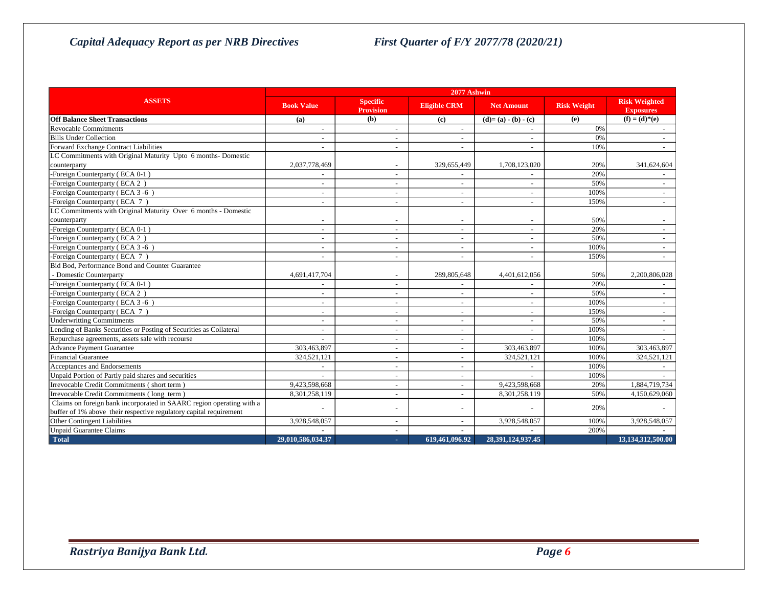|                                                                      | 2077 Ashwin              |                                     |                     |                   |                    |                                          |
|----------------------------------------------------------------------|--------------------------|-------------------------------------|---------------------|-------------------|--------------------|------------------------------------------|
| <b>ASSETS</b>                                                        | <b>Book Value</b>        | <b>Specific</b><br><b>Provision</b> | <b>Eligible CRM</b> | <b>Net Amount</b> | <b>Risk Weight</b> | <b>Risk Weighted</b><br><b>Exposures</b> |
| <b>Off Balance Sheet Transactions</b>                                | (a)                      | (b)                                 | (c)                 | $(d)=(a)-(b)-(c)$ | (e)                | $(f) = (d)*(e)$                          |
| <b>Revocable Commitments</b>                                         |                          | ٠                                   | $\sim$              |                   | 0%                 |                                          |
| <b>Bills Under Collection</b>                                        |                          |                                     |                     |                   | 0%                 |                                          |
| Forward Exchange Contract Liabilities                                |                          | ٠                                   | $\sim$              |                   | 10%                |                                          |
| LC Commitments with Original Maturity Upto 6 months- Domestic        |                          |                                     |                     |                   |                    |                                          |
| counterparty                                                         | 2,037,778,469            | $\overline{\phantom{a}}$            | 329,655,449         | 1,708,123,020     | 20%                | 341,624,604                              |
| -Foreign Counterparty (ECA 0-1)                                      |                          | ٠                                   |                     |                   | 20%                |                                          |
| -Foreign Counterparty (ECA 2)                                        | $\overline{\phantom{a}}$ | ٠                                   | $\sim$              |                   | 50%                |                                          |
| -Foreign Counterparty (ECA 3-6)                                      |                          |                                     |                     |                   | 100%               |                                          |
| -Foreign Counterparty (ECA 7)                                        | $\overline{\phantom{a}}$ |                                     | $\sim$              |                   | 150%               |                                          |
| LC Commitments with Original Maturity Over 6 months - Domestic       |                          |                                     |                     |                   |                    |                                          |
| counterparty                                                         |                          |                                     |                     |                   | 50%                |                                          |
| -Foreign Counterparty (ECA 0-1)                                      | $\overline{\phantom{a}}$ |                                     | $\sim$              |                   | 20%                |                                          |
| -Foreign Counterparty (ECA 2)                                        |                          |                                     | $\sim$              |                   | 50%                |                                          |
| -Foreign Counterparty (ECA 3-6)                                      |                          |                                     | $\sim$              |                   | 100%               |                                          |
| -Foreign Counterparty (ECA 7)                                        | $\overline{\phantom{a}}$ |                                     | $\sim$              | $\sim$            | 150%               | $\sim$                                   |
| Bid Bod, Performance Bond and Counter Guarantee                      |                          |                                     |                     |                   |                    |                                          |
| - Domestic Counterparty                                              | 4,691,417,704            | $\overline{\phantom{a}}$            | 289,805,648         | 4,401,612,056     | 50%                | 2.200.806.028                            |
| -Foreign Counterparty (ECA 0-1)                                      | $\overline{\phantom{a}}$ | $\overline{\phantom{a}}$            | $\blacksquare$      |                   | 20%                |                                          |
| -Foreign Counterparty (ECA 2)                                        |                          |                                     | $\blacksquare$      |                   | 50%                |                                          |
| -Foreign Counterparty (ECA 3-6)                                      | $\overline{a}$           | $\overline{a}$                      | $\sim$              |                   | 100%               |                                          |
| -Foreign Counterparty (ECA 7)                                        |                          |                                     |                     |                   | 150%               |                                          |
| <b>Underwritting Commitments</b>                                     |                          |                                     | $\sim$              |                   | 50%                |                                          |
| Lending of Banks Securities or Posting of Securities as Collateral   | $\overline{\phantom{a}}$ | $\overline{\phantom{a}}$            | $\sim$              | $\sim$            | 100%               |                                          |
| Repurchase agreements, assets sale with recourse                     |                          | $\overline{\phantom{a}}$            | $\sim$              |                   | 100%               |                                          |
| <b>Advance Payment Guarantee</b>                                     | 303,463,897              |                                     | $\omega$            | 303,463,897       | 100%               | 303,463,897                              |
| <b>Financial Guarantee</b>                                           | 324,521,121              |                                     | $\sim$              | 324,521,121       | 100%               | 324,521,121                              |
| Acceptances and Endorsements                                         |                          |                                     | $\sim$              |                   | 100%               |                                          |
| Unpaid Portion of Partly paid shares and securities                  |                          | ٠                                   | $\sim$              |                   | 100%               |                                          |
| Irrevocable Credit Commitments (short term)                          | 9,423,598,668            | ٠                                   | $\sim$              | 9,423,598,668     | 20%                | 1,884,719,734                            |
| Irrevocable Credit Commitments (long term)                           | 8,301,258,119            | $\overline{\phantom{a}}$            | $\sim$              | 8,301,258,119     | 50%                | 4,150,629,060                            |
| Claims on foreign bank incorporated in SAARC region operating with a |                          | ÷,                                  | $\sim$              |                   | 20%                |                                          |
| buffer of 1% above their respective regulatory capital requirement   |                          |                                     |                     |                   |                    |                                          |
| Other Contingent Liabilities                                         | 3,928,548,057            |                                     |                     | 3,928,548,057     | 100%               | 3,928,548,057                            |
| <b>Unpaid Guarantee Claims</b>                                       |                          |                                     |                     |                   | 200%               |                                          |
| Total                                                                | 29.010.586.034.37        | ×.                                  | 619,461,096.92      | 28.391.124.937.45 |                    | 13.134.312.500.00                        |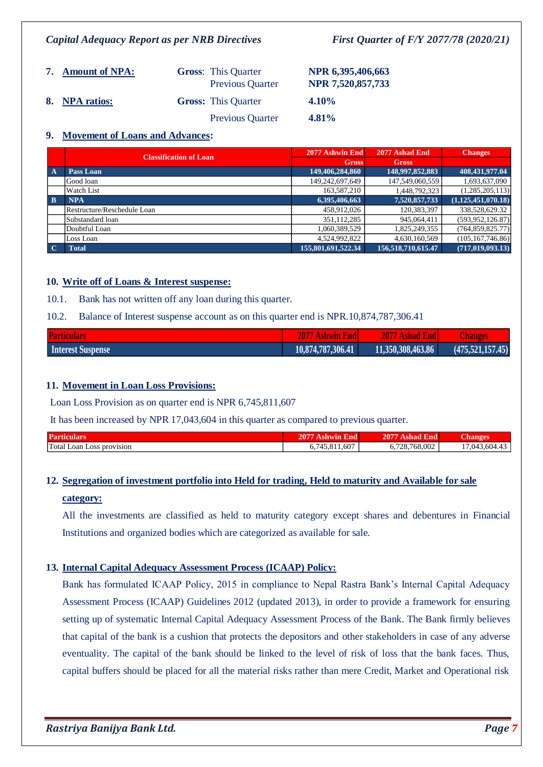| 7. Amount of NPA: | <b>Gross:</b> This Quarter | <b>Previous Quarter</b> | NPR 6,395,406,663<br>NPR 7,520,857,733 |
|-------------------|----------------------------|-------------------------|----------------------------------------|
| 8. NPA ratios:    | <b>Gross:</b> This Quarter |                         | $4.10\%$                               |
|                   |                            | <b>Previous Quarter</b> | $4.81\%$                               |

### **9. Movement of Loans and Advances:**

|              | <b>Classification of Loan</b> | 2077 Ashwin End    | 2077 Ashad End     | <b>Changes</b>        |
|--------------|-------------------------------|--------------------|--------------------|-----------------------|
|              |                               | <b>Gross</b>       | <b>Gross</b>       |                       |
| $\mathbf{A}$ | Pass Loan                     | 149,406,284,860    | 148,997,852,883    | 408,431,977.04        |
|              | Good loan                     | 149,242,697,649    | 147,549,060,559    | 1,693,637,090         |
|              | Watch List                    | 163,587,210        | 1,448,792,323      | (1,285,205,113)       |
| $\mathbf{B}$ | <b>NPA</b>                    | 6,395,406,663      | 7,520,857,733      | (1, 125, 451, 070.18) |
|              | Restructure/Reschedule Loan   | 458,912,026        | 120,383,397        | 338,528,629.32        |
|              | Substandard loan              | 351,112,285        | 945,064,411        | (593.952.126.87)      |
|              | Doubtful Loan                 | 1,060,389,529      | 1,825,249,355      | (764, 859, 825.77)    |
|              | Loss Loan                     | 4,524,992,822      | 4,630,160,569      | (105, 167, 746.86)    |
| $\mathbf C$  | <b>Total</b>                  | 155,801,691,522.34 | 156,518,710,615.47 | (717, 019, 093.13)    |

### **10. Write off of Loans & Interest suspense:**

10.1. Bank has not written off any loan during this quarter.

### 10.2. Balance of Interest suspense account as on this quarter end is NPR.10,874,787,306.41

| <b>Particulars</b> | 2077 Ashwin Endl  | 2077 Ashad Endl   | <b>Changes</b>   |
|--------------------|-------------------|-------------------|------------------|
| Interest Suspense  | 10,874,787,306.41 | 11,350,308,463.86 | (475,521,157,45) |

### **11. Movement in Loan Loss Provisions:**

Loan Loss Provision as on quarter end is NPR 6,745,811,607

It has been increased by NPR 17,043,604 in this quarter as compared to previous quarter.

| <b>Particil</b>       | דמו     | -<br>ימי     | ланг     |
|-----------------------|---------|--------------|----------|
| Total Loan            | . 1.607 | .728.768.002 | $+3.604$ |
| <b>LOSS DIOVISION</b> | 45      | v.           | 1.043    |

# **12. Segregation of investment portfolio into Held for trading, Held to maturity and Available for sale category:**

All the investments are classified as held to maturity category except shares and debentures in Financial Institutions and organized bodies which are categorized as available for sale.

### **13. Internal Capital Adequacy Assessment Process (ICAAP) Policy:**

Bank has formulated ICAAP Policy, 2015 in compliance to Nepal Rastra Bank's Internal Capital Adequacy Assessment Process (ICAAP) Guidelines 2012 (updated 2013), in order to provide a framework for ensuring setting up of systematic Internal Capital Adequacy Assessment Process of the Bank. The Bank firmly believes that capital of the bank is a cushion that protects the depositors and other stakeholders in case of any adverse eventuality. The capital of the bank should be linked to the level of risk of loss that the bank faces. Thus, capital buffers should be placed for all the material risks rather than mere Credit, Market and Operational risk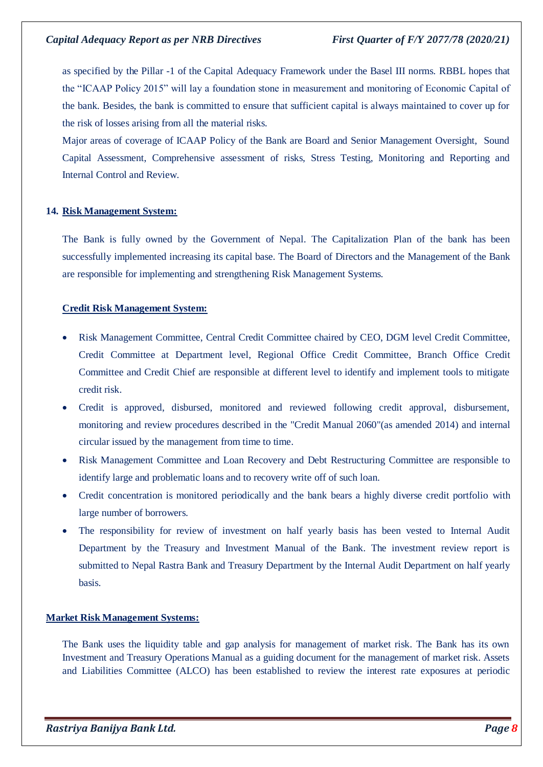as specified by the Pillar -1 of the Capital Adequacy Framework under the Basel III norms. RBBL hopes that the "ICAAP Policy 2015" will lay a foundation stone in measurement and monitoring of Economic Capital of the bank. Besides, the bank is committed to ensure that sufficient capital is always maintained to cover up for the risk of losses arising from all the material risks.

Major areas of coverage of ICAAP Policy of the Bank are Board and Senior Management Oversight, Sound Capital Assessment, Comprehensive assessment of risks, Stress Testing, Monitoring and Reporting and Internal Control and Review.

### **14. Risk Management System:**

The Bank is fully owned by the Government of Nepal. The Capitalization Plan of the bank has been successfully implemented increasing its capital base. The Board of Directors and the Management of the Bank are responsible for implementing and strengthening Risk Management Systems.

### **Credit Risk Management System:**

- Risk Management Committee, Central Credit Committee chaired by CEO, DGM level Credit Committee, Credit Committee at Department level, Regional Office Credit Committee, Branch Office Credit Committee and Credit Chief are responsible at different level to identify and implement tools to mitigate credit risk.
- Credit is approved, disbursed, monitored and reviewed following credit approval, disbursement, monitoring and review procedures described in the "Credit Manual 2060"(as amended 2014) and internal circular issued by the management from time to time.
- Risk Management Committee and Loan Recovery and Debt Restructuring Committee are responsible to identify large and problematic loans and to recovery write off of such loan.
- Credit concentration is monitored periodically and the bank bears a highly diverse credit portfolio with large number of borrowers.
- The responsibility for review of investment on half yearly basis has been vested to Internal Audit Department by the Treasury and Investment Manual of the Bank. The investment review report is submitted to Nepal Rastra Bank and Treasury Department by the Internal Audit Department on half yearly basis.

### **Market Risk Management Systems:**

The Bank uses the liquidity table and gap analysis for management of market risk. The Bank has its own Investment and Treasury Operations Manual as a guiding document for the management of market risk. Assets and Liabilities Committee (ALCO) has been established to review the interest rate exposures at periodic